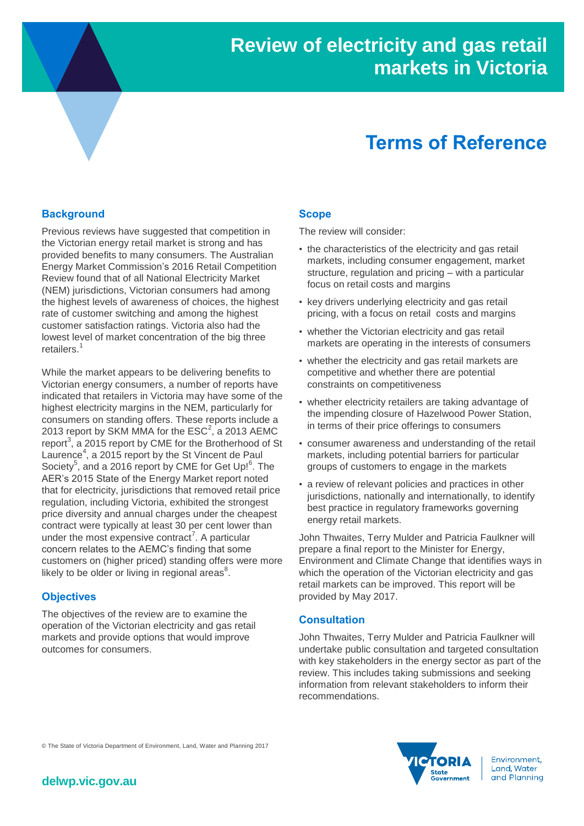# **Terms of Reference**

## **Background**

Previous reviews have suggested that competition in the Victorian energy retail market is strong and has provided benefits to many consumers. The Australian Energy Market Commission's 2016 Retail Competition Review found that of all National Electricity Market (NEM) jurisdictions, Victorian consumers had among the highest levels of awareness of choices, the highest rate of customer switching and among the highest customer satisfaction ratings. Victoria also had the lowest level of market concentration of the big three retailers. 1

While the market appears to be delivering benefits to Victorian energy consumers, a number of reports have indicated that retailers in Victoria may have some of the highest electricity margins in the NEM, particularly for consumers on standing offers. These reports include a 2013 report by SKM MMA for the  $\mathsf{ESC}^2$ , a 2013 AEMC report<sup>3</sup>, a 2015 report by CME for the Brotherhood of St Laurence<sup>4</sup>, a 2015 report by the St Vincent de Paul Society<sup>5</sup>, and a 2016 report by CME for Get Up!<sup>6</sup>. The AER's 2015 State of the Energy Market report noted that for electricity, jurisdictions that removed retail price regulation, including Victoria, exhibited the strongest price diversity and annual charges under the cheapest contract were typically at least 30 per cent lower than under the most expensive contract<sup>7</sup>. A particular concern relates to the AEMC's finding that some customers on (higher priced) standing offers were more likely to be older or living in regional areas $8$ .

#### **Objectives**

The objectives of the review are to examine the operation of the Victorian electricity and gas retail markets and provide options that would improve outcomes for consumers.

#### **Scope**

The review will consider:

- the characteristics of the electricity and gas retail markets, including consumer engagement, market structure, regulation and pricing – with a particular focus on retail costs and margins
- key drivers underlying electricity and gas retail pricing, with a focus on retail costs and margins
- whether the Victorian electricity and gas retail markets are operating in the interests of consumers
- whether the electricity and gas retail markets are competitive and whether there are potential constraints on competitiveness
- whether electricity retailers are taking advantage of the impending closure of Hazelwood Power Station, in terms of their price offerings to consumers
- consumer awareness and understanding of the retail markets, including potential barriers for particular groups of customers to engage in the markets
- a review of relevant policies and practices in other jurisdictions, nationally and internationally, to identify best practice in regulatory frameworks governing energy retail markets.

John Thwaites, Terry Mulder and Patricia Faulkner will prepare a final report to the Minister for Energy, Environment and Climate Change that identifies ways in which the operation of the Victorian electricity and gas retail markets can be improved. This report will be provided by May 2017.

### **Consultation**

John Thwaites, Terry Mulder and Patricia Faulkner will undertake public consultation and targeted consultation with key stakeholders in the energy sector as part of the review. This includes taking submissions and seeking information from relevant stakeholders to inform their recommendations.

© The State of Victoria Department of Environment, Land, Water and Planning 2017



Environment, Land, Water and Planning

# **delwp.vic.gov.au**